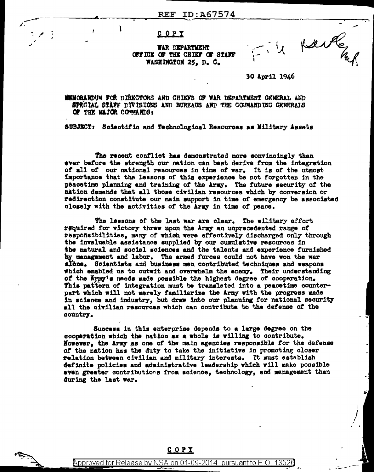## $Q$   $Q$   $P$   $T$

WAR DEPARTMENT OFFICE OF THE CHIEF OF STAFF WASHINGTON 25. D. C.

Kevley

30 April 1946

WENCHANDUM FOR DIRECTORS AND CHIEFS OF WAR DEPARTMENT GENERAL AND SPECIAL STAFF DIVISIONS AND BUREAUS AND THE COMMANDING GENERALS OF THE MAJOR COMMANDS:

SUBJECT: Scientific and Technological Resources as Military Assets

The recent conflict has demonstrated more convincingly than ever before the strength our nation can best derive from the integration of all of our national resources in time of war. It is of the utmost importance that the lessons of this experience be not forgotten in the peacetime planning and training of the Army. The future security of the nation demands that all those civilian resources which by conversion or redirection constitute our main support in time of emergency be associated closely with the activities of the Army in time of peace.

The lessons of the last war are clear. The military effort required for victory threw upon the Army an unprecedented range of responsibilities, many of which were effectively discharged only through the invaluable assistance supplied by our cumulative resources in the natural and social sciences and the talents and experience furnished by management and labor. The armed forces could not have won the war alone. Scientists and business men contributed techniques and weapons which enabled us to outwit and overwhelm the enemy. Their understanding of the Army's needs made possible the highest degree of cooperation. This pattern of integration must be translated into a peacetime counterpart which will not merely familiarize the Army with the progress made in science and industry, but draw into our planning for national security all the civilian resources which can contribute to the defense of the country.

Success in this enterprise depends to a large degree on the scoperation which the nation as a whole is willing to contribute. However, the Army as one of the main agencies responsible for the defense of the nation has the duty to take the initiative in promoting closer relation between civilian and military interests. It must establish definite policies and administrative leadership which will make possible aven greater contributions from science, technology, and management than during the last war.



<u> Approved for Release by NSA on 01-09-2014 pursuant to E.O.</u>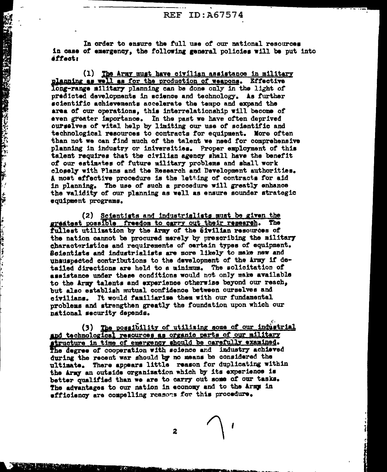In order to ensure the full use of our national resources in case of emergency, the following general policies will be put into affact:

(1) The Army must have civilian assistance in military planning as well as for the production of weapons. Effective long-range military planning can be done only in the light of predicted developments in science and technology. As further scientific achievements accelerate the tempo and expand the area of our operations, this interrelationship will become of even greater importance. In the past we have often deprived ourselves of vital help by limiting our use of scientific and technological resources to contracts for equipment. More often than not we can find much of the talent we need for comprehensive planning in industry or iniversities. Proper employment of this talent requires that the civilian agency shall have the benefit of our estimates of future military problems and shall work closely with Plans and the Research and Development authorities. A most effective procedure is the letting of contracts for aid in planning. The use of such a procedure will greatly enhance the validity of our planning as well as ensure sounder strategic equipment programs.

しゅうしょう (風に落くる)

 $\frac{1}{2}$ 

(2) Scientists and industrialists must be given the greatest possible freedom to carry out their research. The fullest utilization by the Army of the Sivilian resources of the nation cannot be procured merely by prescribing the military characteristics and requirements of cartain types of equipment. Scientists and industrialists are more likely to make new and unsuspected contributions to the development of the Army if detailed directions are held to a minimum. The solicitation of assistance under these conditions would not only make available to the Army talents and experience otherwise beyond our reach, but also establish mutual confidence between ourselves and civilians. It would familiarize them with our fundamental problems and strengthen greatly the foundation upon which our national security depends.

(3) The possibility of utilizing some of our industrial and technological resources as organic parts of our military structure in time of emergency should be carefully examined.<br>The degree of cooperation with science and industry achieved during the recent war should by no means be considered the ultimate. There appears little reason for duplicating within the Army an outside organization which by its experience is better qualified than we are to carry out some of our tasks. The advantages to our nation in economy and to the Army in efficiency are compelling reasons for this procedure.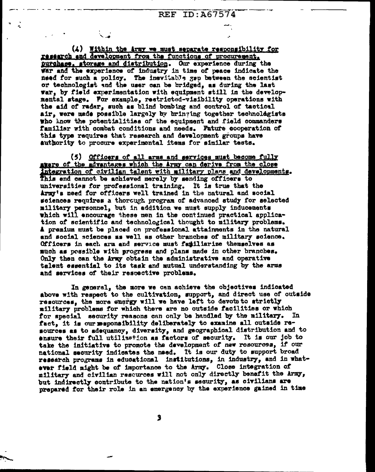(4) Within the army we must separate responsibility for research and development from the functions of procurement. purchase, storage and distribution. Our experience during the war and the experience of industry in time of peace indicate the need for such a policy. The inevitable gap between the scientist or technologist and the user can be bridged, as during the last war, by field experimentation with equipment still in the developmental stage. For example, restricted-visibility operations with the aid of radar, such as blind bombing and control of tactical air, were made possible largely by brinting together technologists who know the potentialities of the equipment and field commanders familiar with combat conditions and needs. Future cooperation of this type requires that research and development groups have authority to procure experimental items for similar tests.

(5) Officers of all arms and services must become fully aware of the advantages which the Army can derive from the close integration of civilian talent with military plans and developments. This end cannot be achieved merely by sending officers to universities for professional training. It is true that the Army's need for officers well trained in the natural and social sciences requires a thorough program of advanced study for selected military personnel, but in addition we must supply inducements which will encourage these men in the continued practical application of scientific and technological thought to military problems. A premium must be placed on professional attainments in the natural and social sciences as well as other branches of military science. Officers in each arm and service must familiarize themselves as much as possible with progress and plans made in other branches. Only then can the Army obtain the administrative and operative talent essential to its task and mutual understanding by the arms and services of their respective problems.

In general, the more we can achieve the objectives indicated above with respect to the cultivation, support, and direct use of outside resources, the more energy will we have left to devote to strictly military problems for which there are no outside facilities or which for special security reasons can only be handled by the military. In fact. it is our meponsibility deliberately to examine all outside resources as to adequancy, diversity, and geographical distribution and to ensure their full utilization as factors of security. It is our job to take the initiative to promote the development of new resources, if our national security indicates the need. It is our duty to support broad research programs in educational institutions, in industry, and in whatever field might be of importance to the Army. Close integration of military and civilian rescurces will not only directly benefit the Army, but indirectly contribute to the nation's security, as civilians are prepared for their role in an emergency by the experience gained in time

3